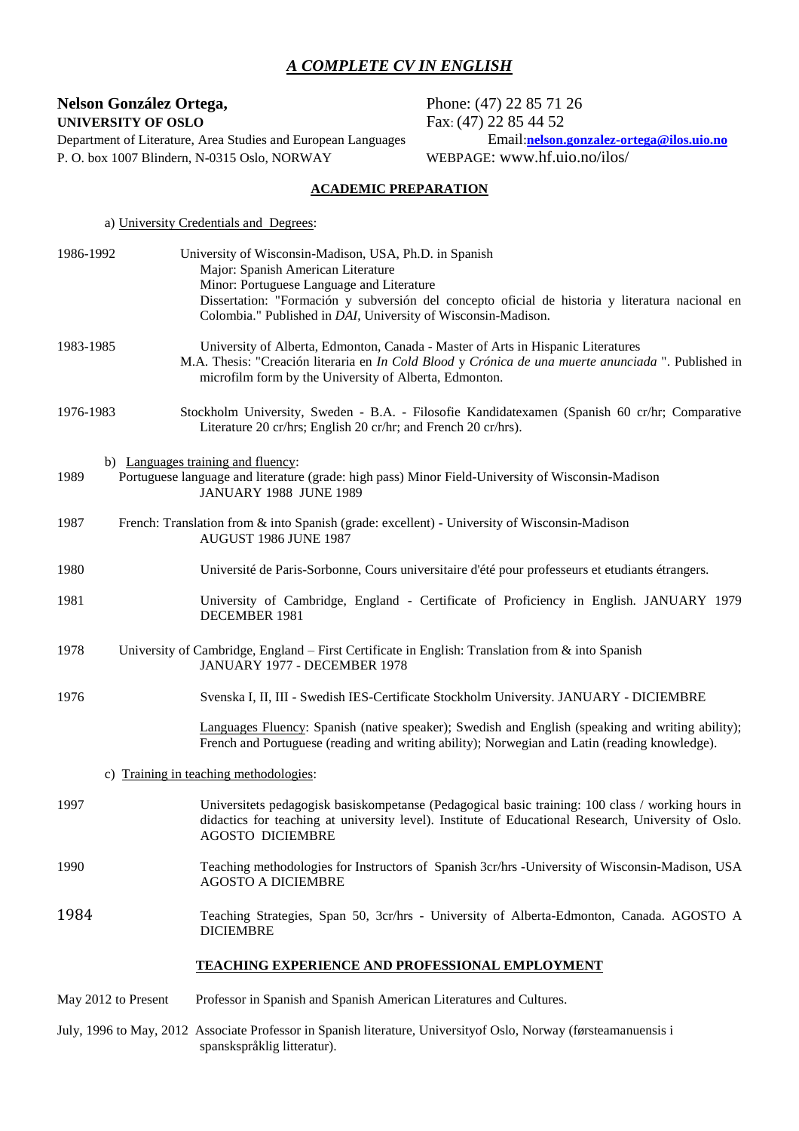# *A COMPLETE CV IN ENGLISH*

# **Nelson González Ortega,** Phone: (47) 22 85 71 26

Department of Literature, Area Studies and European Languages Email:**nelson.gonzalez-or**<br>P. O. box 1007 Blindern, N-0315 Oslo, NORWAY WEBPAGE: www.hf.uio.no/ilos/ P. O. box 1007 Blindern, N-0315 Oslo, NORWAY

**UNIVERSITY OF OSLO**<br>Department of Literature, Area Studies and European Languages<br>Email:**nelson.gonzalez-ortega@ilos.uio.no** 

# **ACADEMIC PREPARATION**

|                     | a) University Credentials and Degrees:                                                                                                                                                                                                                                                                        |
|---------------------|---------------------------------------------------------------------------------------------------------------------------------------------------------------------------------------------------------------------------------------------------------------------------------------------------------------|
| 1986-1992           | University of Wisconsin-Madison, USA, Ph.D. in Spanish<br>Major: Spanish American Literature<br>Minor: Portuguese Language and Literature<br>Dissertation: "Formación y subversión del concepto oficial de historia y literatura nacional en<br>Colombia." Published in DAI, University of Wisconsin-Madison. |
| 1983-1985           | University of Alberta, Edmonton, Canada - Master of Arts in Hispanic Literatures<br>M.A. Thesis: "Creación literaria en In Cold Blood y Crónica de una muerte anunciada ". Published in<br>microfilm form by the University of Alberta, Edmonton.                                                             |
| 1976-1983           | Stockholm University, Sweden - B.A. - Filosofie Kandidatexamen (Spanish 60 cr/hr; Comparative<br>Literature 20 cr/hrs; English 20 cr/hr; and French 20 cr/hrs).                                                                                                                                               |
| 1989                | b) Languages training and fluency:<br>Portuguese language and literature (grade: high pass) Minor Field-University of Wisconsin-Madison<br><b>JANUARY 1988 JUNE 1989</b>                                                                                                                                      |
| 1987                | French: Translation from & into Spanish (grade: excellent) - University of Wisconsin-Madison<br><b>AUGUST 1986 JUNE 1987</b>                                                                                                                                                                                  |
| 1980                | Université de Paris-Sorbonne, Cours universitaire d'été pour professeurs et etudiants étrangers.                                                                                                                                                                                                              |
| 1981                | University of Cambridge, England - Certificate of Proficiency in English. JANUARY 1979<br>DECEMBER 1981                                                                                                                                                                                                       |
| 1978                | University of Cambridge, England – First Certificate in English: Translation from & into Spanish<br>JANUARY 1977 - DECEMBER 1978                                                                                                                                                                              |
| 1976                | Svenska I, II, III - Swedish IES-Certificate Stockholm University. JANUARY - DICIEMBRE                                                                                                                                                                                                                        |
|                     | Languages Fluency: Spanish (native speaker); Swedish and English (speaking and writing ability);<br>French and Portuguese (reading and writing ability); Norwegian and Latin (reading knowledge).                                                                                                             |
|                     | c) Training in teaching methodologies:                                                                                                                                                                                                                                                                        |
| 1997                | Universitets pedagogisk basiskompetanse (Pedagogical basic training: 100 class / working hours in<br>didactics for teaching at university level). Institute of Educational Research, University of Oslo.<br><b>AGOSTO DICIEMBRE</b>                                                                           |
| 1990                | Teaching methodologies for Instructors of Spanish 3cr/hrs -University of Wisconsin-Madison, USA<br><b>AGOSTO A DICIEMBRE</b>                                                                                                                                                                                  |
| 1984                | Teaching Strategies, Span 50, 3cr/hrs - University of Alberta-Edmonton, Canada. AGOSTO A<br><b>DICIEMBRE</b>                                                                                                                                                                                                  |
|                     | <b>TEACHING EXPERIENCE AND PROFESSIONAL EMPLOYMENT</b>                                                                                                                                                                                                                                                        |
| May 2012 to Present | Professor in Spanish and Spanish American Literatures and Cultures.                                                                                                                                                                                                                                           |

July, 1996 to May, 2012 Associate Professor in Spanish literature, Universityof Oslo, Norway (førsteamanuensis i spanskspråklig litteratur).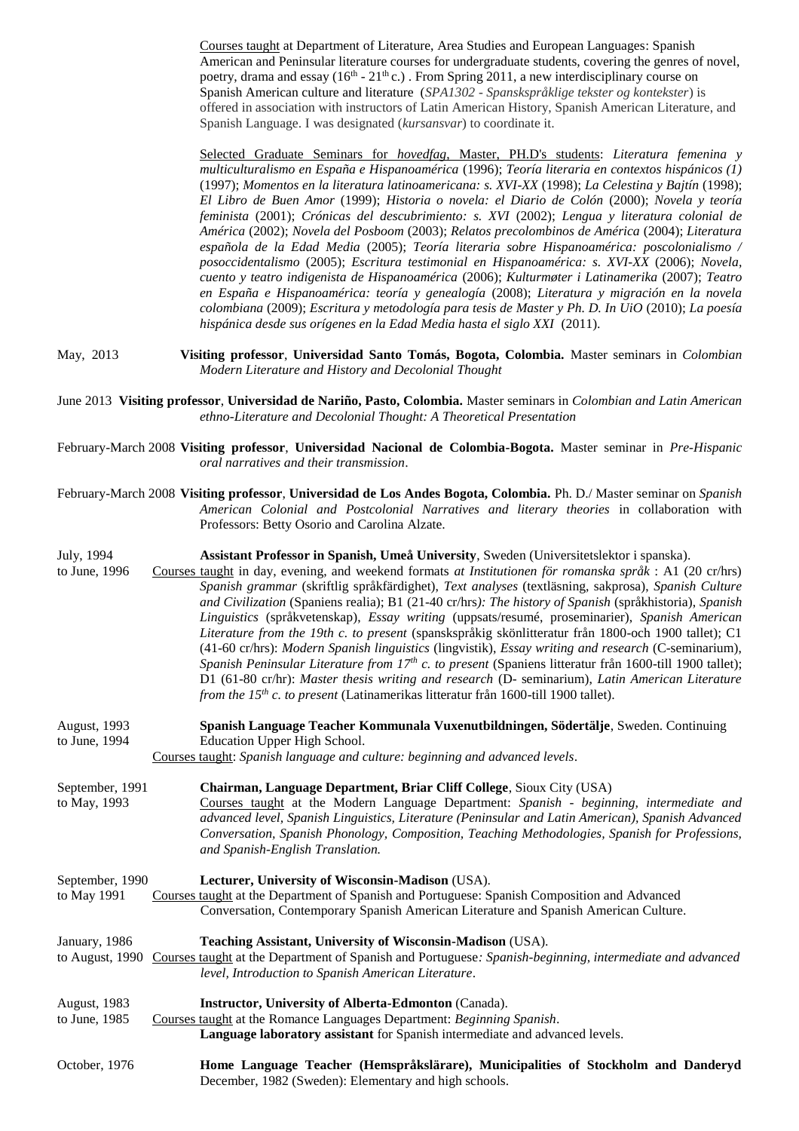| Courses taught at Department of Literature, Area Studies and European Languages: Spanish             |
|------------------------------------------------------------------------------------------------------|
| American and Peninsular literature courses for undergraduate students, covering the genres of novel, |
| poetry, drama and essay ( $16th - 21th$ c.). From Spring 2011, a new interdisciplinary course on     |
| Spanish American culture and literature (SPA1302 - Spanskspråklige tekster og kontekster) is         |
| offered in association with instructors of Latin American History, Spanish American Literature, and  |
| Spanish Language. I was designated <i>(kursansvar)</i> to coordinate it.                             |

Selected Graduate Seminars for *hovedfag*, Master, PH.D's students: *Literatura femenina y multiculturalismo en España e Hispanoamérica* (1996); *Teoría literaria en contextos hispánicos (1)* (1997); *Momentos en la literatura latinoamericana: s. XVI-XX* (1998); *La Celestina y Bajtín* (1998); *El Libro de Buen Amor* (1999); *Historia o novela: el Diario de Colón* (2000); *Novela y teoría feminista* (2001); *Crónicas del descubrimiento: s. XVI* (2002); *Lengua y literatura colonial de América* (2002); *Novela del Posboom* (2003); *Relatos precolombinos de América* (2004); *Literatura española de la Edad Media* (2005); *Teoría literaria sobre Hispanoamérica: poscolonialismo / posoccidentalismo* (2005); *Escritura testimonial en Hispanoamérica: s. XVI-XX* (2006); *Novela, cuento y teatro indigenista de Hispanoamérica* (2006); *Kulturmøter i Latinamerika* (2007); *Teatro en España e Hispanoamérica: teoría y genealogía* (2008); *Literatura y migración en la novela colombiana* (2009); *Escritura y metodología para tesis de Master y Ph. D. In UiO* (2010); *La poesía hispánica desde sus orígenes en la Edad Media hasta el siglo XXI* (2011).

May, 2013 **Visiting professor**, **Universidad Santo Tomás, Bogota, Colombia.** Master seminars in *Colombian Modern Literature and History and Decolonial Thought*

June 2013 **Visiting professor**, **Universidad de Nariño, Pasto, Colombia.** Master seminars in *Colombian and Latin American ethno-Literature and Decolonial Thought: A Theoretical Presentation*

February-March 2008 **Visiting professor**, **Universidad Nacional de Colombia-Bogota.** Master seminar in *Pre-Hispanic oral narratives and their transmission*.

| February-March 2008 Visiting professor, Universidad de Los Andes Bogota, Colombia. Ph. D./ Master seminar on Spanish |  |                                               |  |  |                                                                                           |  |
|----------------------------------------------------------------------------------------------------------------------|--|-----------------------------------------------|--|--|-------------------------------------------------------------------------------------------|--|
|                                                                                                                      |  |                                               |  |  | American Colonial and Postcolonial Narratives and literary theories in collaboration with |  |
|                                                                                                                      |  | Professors: Betty Osorio and Carolina Alzate. |  |  |                                                                                           |  |

July, 1994 **Assistant Professor in Spanish, Umeå University**, Sweden (Universitetslektor i spanska). Courses taught in day, evening, and weekend formats *at Institutionen för romanska språk* : A1 (20 cr/hrs) *Spanish grammar* (skriftlig språkfärdighet), *Text analyses* (textläsning, sakprosa), *Spanish Culture and Civilization* (Spaniens realia); B1 (21-40 cr/hrs*): The history of Spanish* (språkhistoria), *Spanish Linguistics* (språkvetenskap), *Essay writing* (uppsats/resumé, proseminarier), *Spanish American Literature from the 19th c. to present* (spanskspråkig skönlitteratur från 1800-och 1900 tallet); C1 (41-60 cr/hrs): *Modern Spanish linguistics* (lingvistik), *Essay writing and research* (C-seminarium), *Spanish Peninsular Literature from 17th c. to present* (Spaniens litteratur från 1600-till 1900 tallet);

August, 1993 **Spanish Language Teacher Kommunala Vuxenutbildningen, Södertälje**, Sweden. Continuing to June, 1994 Education Upper High School.

*from the 15th c. to present* (Latinamerikas litteratur från 1600-till 1900 tallet).

D1 (61-80 cr/hr): *Master thesis writing and research* (D- seminarium), *Latin American Literature* 

Courses taught: *Spanish language and culture: beginning and advanced levels*.

September, 1991 **Chairman, Language Department, Briar Cliff College**, Sioux City (USA) to May, 1993 Courses taught at the Modern Language Department: *Spanish - beginning, intermediate and advanced level, Spanish Linguistics, Literature (Peninsular and Latin American), Spanish Advanced Conversation, Spanish Phonology, Composition, Teaching Methodologies, Spanish for Professions, and Spanish-English Translation.*

September, 1990 **Lecturer, University of Wisconsin-Madison** (USA).<br>to May 1991 Courses taught at the Department of Spanish and Portuguese: S Courses taught at the Department of Spanish and Portuguese: Spanish Composition and Advanced Conversation, Contemporary Spanish American Literature and Spanish American Culture.

January, 1986 **Teaching Assistant, University of Wisconsin-Madison** (USA). to August, 1990 Courses taught at the Department of Spanish and Portuguese*: Spanish-beginning, intermediate and advanced level, Introduction to Spanish American Literature*.

August, 1983 **Instructor, University of Alberta-Edmonton** (Canada).

to June, 1985 Courses taught at the Romance Languages Department: *Beginning Spanish*.

**Language laboratory assistant** for Spanish intermediate and advanced levels.

October, 1976 **Home Language Teacher (Hemspråkslärare), Municipalities of Stockholm and Danderyd** December, 1982 (Sweden): Elementary and high schools.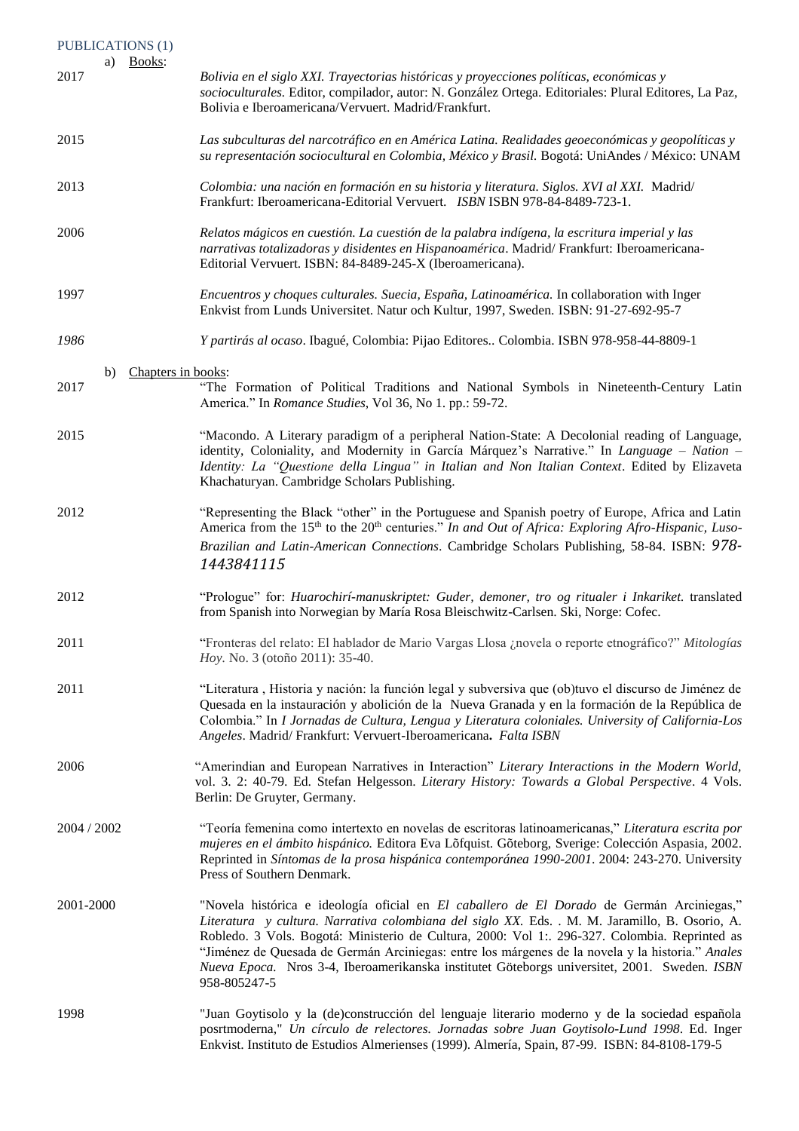| <b>PUBLICATIONS (1)</b> |                                                                                                                                                                                                                                                                                                                                                                                                                                                                                                                  |
|-------------------------|------------------------------------------------------------------------------------------------------------------------------------------------------------------------------------------------------------------------------------------------------------------------------------------------------------------------------------------------------------------------------------------------------------------------------------------------------------------------------------------------------------------|
| a) Books:<br>2017       | Bolivia en el siglo XXI. Trayectorias históricas y proyecciones políticas, económicas y<br>socioculturales. Editor, compilador, autor: N. González Ortega. Editoriales: Plural Editores, La Paz,<br>Bolivia e Iberoamericana/Vervuert. Madrid/Frankfurt.                                                                                                                                                                                                                                                         |
| 2015                    | Las subculturas del narcotráfico en en América Latina. Realidades geoeconómicas y geopolíticas y<br>su representación sociocultural en Colombia, México y Brasil. Bogotá: UniAndes / México: UNAM                                                                                                                                                                                                                                                                                                                |
| 2013                    | Colombia: una nación en formación en su historia y literatura. Siglos. XVI al XXI. Madrid/<br>Frankfurt: Iberoamericana-Editorial Vervuert. ISBN ISBN 978-84-8489-723-1.                                                                                                                                                                                                                                                                                                                                         |
| 2006                    | Relatos mágicos en cuestión. La cuestión de la palabra indígena, la escritura imperial y las<br>narrativas totalizadoras y disidentes en Hispanoamérica. Madrid/Frankfurt: Iberoamericana-<br>Editorial Vervuert. ISBN: 84-8489-245-X (Iberoamericana).                                                                                                                                                                                                                                                          |
| 1997                    | Encuentros y choques culturales. Suecia, España, Latinoamérica. In collaboration with Inger<br>Enkvist from Lunds Universitet. Natur och Kultur, 1997, Sweden. ISBN: 91-27-692-95-7                                                                                                                                                                                                                                                                                                                              |
| 1986                    | Y partirás al ocaso. Ibagué, Colombia: Pijao Editores Colombia. ISBN 978-958-44-8809-1                                                                                                                                                                                                                                                                                                                                                                                                                           |
| b)<br>2017              | Chapters in books:<br>"The Formation of Political Traditions and National Symbols in Nineteenth-Century Latin<br>America." In Romance Studies, Vol 36, No 1. pp.: 59-72.                                                                                                                                                                                                                                                                                                                                         |
| 2015                    | "Macondo. A Literary paradigm of a peripheral Nation-State: A Decolonial reading of Language,<br>identity, Coloniality, and Modernity in García Márquez's Narrative." In Language - Nation -<br>Identity: La "Questione della Lingua" in Italian and Non Italian Context. Edited by Elizaveta<br>Khachaturyan. Cambridge Scholars Publishing.                                                                                                                                                                    |
| 2012                    | "Representing the Black "other" in the Portuguese and Spanish poetry of Europe, Africa and Latin<br>America from the 15 <sup>th</sup> to the 20 <sup>th</sup> centuries." In and Out of Africa: Exploring Afro-Hispanic, Luso-<br>Brazilian and Latin-American Connections. Cambridge Scholars Publishing, 58-84. ISBN: 978-<br>1443841115                                                                                                                                                                       |
| 2012                    | "Prologue" for: Huarochirí-manuskriptet: Guder, demoner, tro og ritualer i Inkariket. translated<br>from Spanish into Norwegian by María Rosa Bleischwitz-Carlsen. Ski, Norge: Cofec.                                                                                                                                                                                                                                                                                                                            |
| 2011                    | "Fronteras del relato: El hablador de Mario Vargas Llosa ¿novela o reporte etnográfico?" Mitologías<br><i>Hoy.</i> No. 3 (otoño 2011): 35-40.                                                                                                                                                                                                                                                                                                                                                                    |
| 2011                    | "Literatura, Historia y nación: la función legal y subversiva que (ob)tuvo el discurso de Jiménez de<br>Quesada en la instauración y abolición de la Nueva Granada y en la formación de la República de<br>Colombia." In I Jornadas de Cultura, Lengua y Literatura coloniales. University of California-Los<br>Angeles. Madrid/Frankfurt: Vervuert-Iberoamericana. Falta ISBN                                                                                                                                   |
| 2006                    | "Amerindian and European Narratives in Interaction" Literary Interactions in the Modern World,<br>vol. 3. 2: 40-79. Ed. Stefan Helgesson. Literary History: Towards a Global Perspective. 4 Vols.<br>Berlin: De Gruyter, Germany.                                                                                                                                                                                                                                                                                |
| 2004 / 2002             | "Teoría femenina como intertexto en novelas de escritoras latinoamericanas," Literatura escrita por<br>mujeres en el ámbito hispánico. Editora Eva Lõfquist. Gõteborg, Sverige: Colección Aspasia, 2002.<br>Reprinted in Síntomas de la prosa hispánica contemporánea 1990-2001. 2004: 243-270. University<br>Press of Southern Denmark.                                                                                                                                                                         |
| 2001-2000               | "Novela histórica e ideología oficial en El caballero de El Dorado de Germán Arciniegas,"<br>Literatura y cultura. Narrativa colombiana del siglo XX. Eds. . M. M. Jaramillo, B. Osorio, A.<br>Robledo. 3 Vols. Bogotá: Ministerio de Cultura, 2000: Vol 1:. 296-327. Colombia. Reprinted as<br>"Jiménez de Quesada de Germán Arciniegas: entre los márgenes de la novela y la historia." Anales<br>Nueva Epoca. Nros 3-4, Iberoamerikanska institutet Göteborgs universitet, 2001. Sweden. ISBN<br>958-805247-5 |
| 1998                    | "Juan Goytisolo y la (de)construcción del lenguaje literario moderno y de la sociedad española<br>posrtmoderna," Un círculo de relectores. Jornadas sobre Juan Goytisolo-Lund 1998. Ed. Inger<br>Enkvist. Instituto de Estudios Almerienses (1999). Almería, Spain, 87-99. ISBN: 84-8108-179-5                                                                                                                                                                                                                   |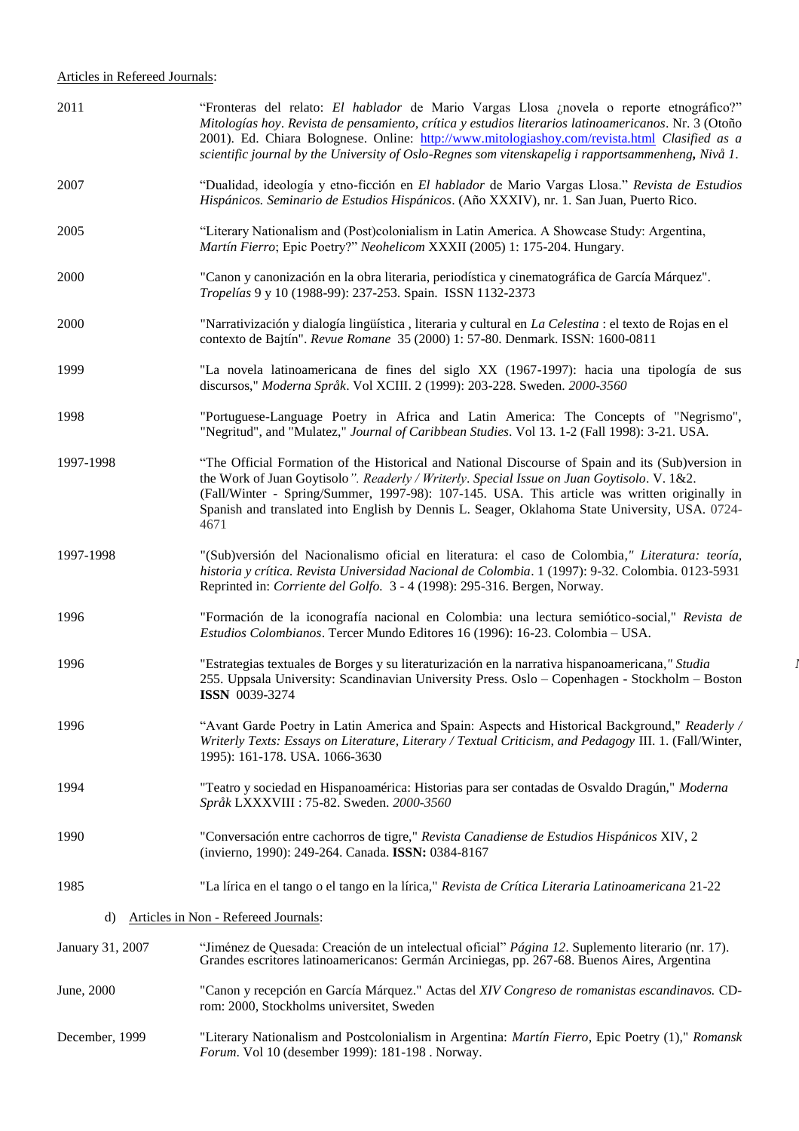| 2011             | "Fronteras del relato: El hablador de Mario Vargas Llosa ¿novela o reporte etnográfico?"<br>Mitologías hoy. Revista de pensamiento, crítica y estudios literarios latinoamericanos. Nr. 3 (Otoño<br>2001). Ed. Chiara Bolognese. Online: http://www.mitologiashoy.com/revista.html Clasified as a<br>scientific journal by the University of Oslo-Regnes som vitenskapelig i rapportsammenheng, Nivå 1.   |  |
|------------------|-----------------------------------------------------------------------------------------------------------------------------------------------------------------------------------------------------------------------------------------------------------------------------------------------------------------------------------------------------------------------------------------------------------|--|
| 2007             | "Dualidad, ideología y etno-ficción en El hablador de Mario Vargas Llosa." Revista de Estudios<br>Hispánicos. Seminario de Estudios Hispánicos. (Año XXXIV), nr. 1. San Juan, Puerto Rico.                                                                                                                                                                                                                |  |
| 2005             | "Literary Nationalism and (Post)colonialism in Latin America. A Showcase Study: Argentina,<br>Martín Fierro; Epic Poetry?" Neohelicom XXXII (2005) 1: 175-204. Hungary.                                                                                                                                                                                                                                   |  |
| 2000             | "Canon y canonización en la obra literaria, periodística y cinematográfica de García Márquez".<br>Tropelías 9 y 10 (1988-99): 237-253. Spain. ISSN 1132-2373                                                                                                                                                                                                                                              |  |
| 2000             | "Narrativización y dialogía lingüística, literaria y cultural en La Celestina : el texto de Rojas en el<br>contexto de Bajtín". Revue Romane 35 (2000) 1: 57-80. Denmark. ISSN: 1600-0811                                                                                                                                                                                                                 |  |
| 1999             | "La novela latinoamericana de fines del siglo XX (1967-1997): hacia una tipología de sus<br>discursos," Moderna Språk. Vol XCIII. 2 (1999): 203-228. Sweden. 2000-3560                                                                                                                                                                                                                                    |  |
| 1998             | "Portuguese-Language Poetry in Africa and Latin America: The Concepts of "Negrismo",<br>"Negritud", and "Mulatez," Journal of Caribbean Studies. Vol 13. 1-2 (Fall 1998): 3-21. USA.                                                                                                                                                                                                                      |  |
| 1997-1998        | "The Official Formation of the Historical and National Discourse of Spain and its (Sub)version in<br>the Work of Juan Goytisolo". Readerly / Writerly. Special Issue on Juan Goytisolo. V. 1&2.<br>(Fall/Winter - Spring/Summer, 1997-98): 107-145. USA. This article was written originally in<br>Spanish and translated into English by Dennis L. Seager, Oklahoma State University, USA. 0724-<br>4671 |  |
| 1997-1998        | "(Sub)versión del Nacionalismo oficial en literatura: el caso de Colombia," Literatura: teoría,<br>historia y crítica. Revista Universidad Nacional de Colombia. 1 (1997): 9-32. Colombia. 0123-5931<br>Reprinted in: Corriente del Golfo. 3 - 4 (1998): 295-316. Bergen, Norway.                                                                                                                         |  |
| 1996             | "Formación de la iconografía nacional en Colombia: una lectura semiótico-social," Revista de<br>Estudios Colombianos. Tercer Mundo Editores 16 (1996): 16-23. Colombia – USA.                                                                                                                                                                                                                             |  |
| 1996             | "Estrategias textuales de Borges y su literaturización en la narrativa hispanoamericana," Studia<br>255. Uppsala University: Scandinavian University Press. Oslo - Copenhagen - Stockholm - Boston<br><b>ISSN 0039-3274</b>                                                                                                                                                                               |  |
| 1996             | "Avant Garde Poetry in Latin America and Spain: Aspects and Historical Background," Readerly /<br>Writerly Texts: Essays on Literature, Literary / Textual Criticism, and Pedagogy III. 1. (Fall/Winter,<br>1995): 161-178. USA. 1066-3630                                                                                                                                                                |  |
| 1994             | "Teatro y sociedad en Hispanoamérica: Historias para ser contadas de Osvaldo Dragún," Moderna<br>Språk LXXXVIII : 75-82. Sweden. 2000-3560                                                                                                                                                                                                                                                                |  |
| 1990             | "Conversación entre cachorros de tigre," Revista Canadiense de Estudios Hispánicos XIV, 2<br>(invierno, 1990): 249-264. Canada. ISSN: 0384-8167                                                                                                                                                                                                                                                           |  |
| 1985             | "La lírica en el tango o el tango en la lírica," Revista de Crítica Literaria Latinoamericana 21-22                                                                                                                                                                                                                                                                                                       |  |
| d)               | Articles in Non - Refereed Journals:                                                                                                                                                                                                                                                                                                                                                                      |  |
| January 31, 2007 | "Jiménez de Quesada: Creación de un intelectual oficial" Página 12. Suplemento literario (nr. 17).<br>Grandes escritores latinoamericanos: Germán Arciniegas, pp. 267-68. Buenos Aires, Argentina                                                                                                                                                                                                         |  |
| June, 2000       | "Canon y recepción en García Márquez." Actas del XIV Congreso de romanistas escandinavos. CD-<br>rom: 2000, Stockholms universitet, Sweden                                                                                                                                                                                                                                                                |  |
| December, 1999   | "Literary Nationalism and Postcolonialism in Argentina: Martín Fierro, Epic Poetry (1)," Romansk<br>Forum. Vol 10 (desember 1999): 181-198. Norway.                                                                                                                                                                                                                                                       |  |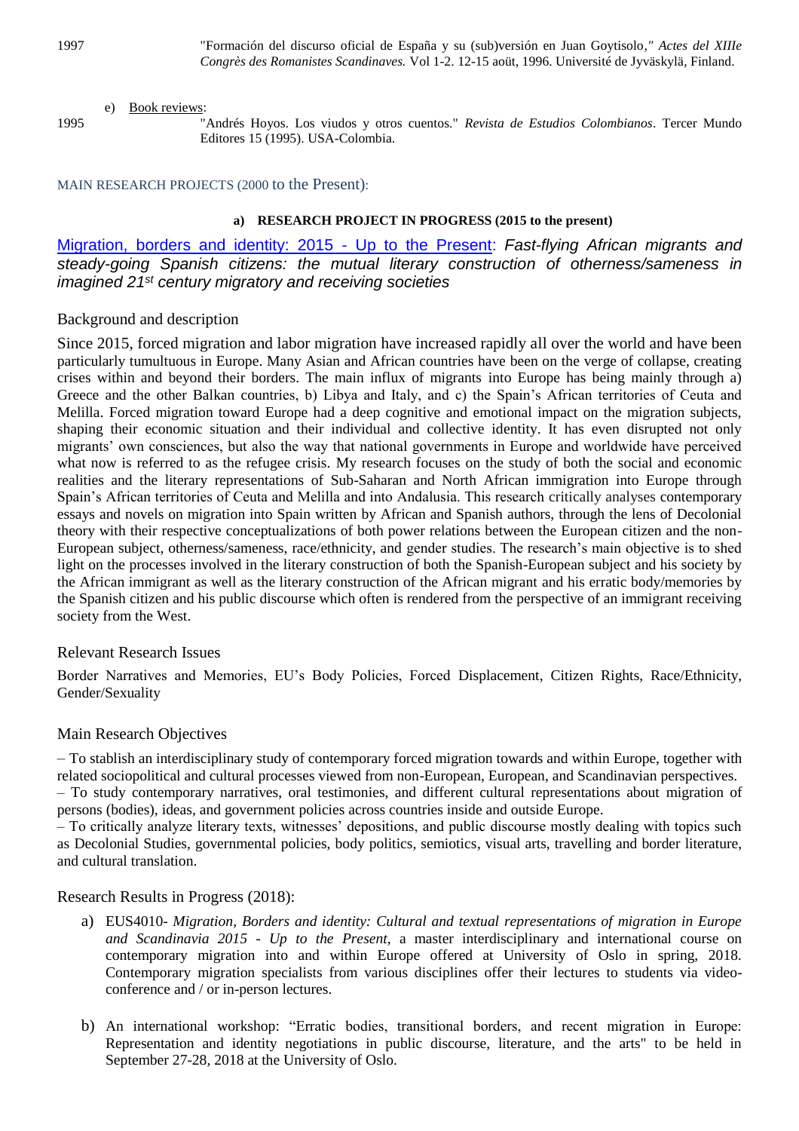## e) Book reviews:

1995 "Andrés Hoyos. Los viudos y otros cuentos." *Revista de Estudios Colombianos*. Tercer Mundo Editores 15 (1995). USA-Colombia.

# MAIN RESEARCH PROJECTS (2000 to the Present):

# **a) RESEARCH PROJECT IN PROGRESS (2015 to the present)**

[Migration, borders and identity: 2015 -](http://www.hf.uio.no/ilos/english/research/groups/Migration%20borders%20and%20identity/) Up to the Present: *Fast-flying African migrants and steady-going Spanish citizens: the mutual literary construction of otherness/sameness in imagined 21st century migratory and receiving societies* 

# Background and description

Since 2015, forced migration and labor migration have increased rapidly all over the world and have been particularly tumultuous in Europe. Many Asian and African countries have been on the verge of collapse, creating crises within and beyond their borders. The main influx of migrants into Europe has being mainly through a) Greece and the other Balkan countries, b) Libya and Italy, and c) the Spain's African territories of Ceuta and Melilla. Forced migration toward Europe had a deep cognitive and emotional impact on the migration subjects, shaping their economic situation and their individual and collective identity. It has even disrupted not only migrants' own consciences, but also the way that national governments in Europe and worldwide have perceived what now is referred to as the refugee crisis. My research focuses on the study of both the social and economic realities and the literary representations of Sub-Saharan and North African immigration into Europe through Spain's African territories of Ceuta and Melilla and into Andalusia. This research critically analyses contemporary essays and novels on migration into Spain written by African and Spanish authors, through the lens of Decolonial theory with their respective conceptualizations of both power relations between the European citizen and the non-European subject, otherness/sameness, race/ethnicity, and gender studies. The research's main objective is to shed light on the processes involved in the literary construction of both the Spanish-European subject and his society by the African immigrant as well as the literary construction of the African migrant and his erratic body/memories by the Spanish citizen and his public discourse which often is rendered from the perspective of an immigrant receiving society from the West.

# Relevant Research Issues

Border Narratives and Memories, EU's Body Policies, Forced Displacement, Citizen Rights, Race/Ethnicity, Gender/Sexuality

# Main Research Objectives

– To stablish an interdisciplinary study of contemporary forced migration towards and within Europe, together with related sociopolitical and cultural processes viewed from non-European, European, and Scandinavian perspectives. – To study contemporary narratives, oral testimonies, and different cultural representations about migration of persons (bodies), ideas, and government policies across countries inside and outside Europe.

– To critically analyze literary texts, witnesses' depositions, and public discourse mostly dealing with topics such as Decolonial Studies, governmental policies, body politics, semiotics, visual arts, travelling and border literature, and cultural translation.

# Research Results in Progress (2018):

- a) EUS4010- *Migration, Borders and identity: Cultural and textual representations of migration in Europe and Scandinavia 2015 - Up to the Present*, a master interdisciplinary and international course on contemporary migration into and within Europe offered at University of Oslo in spring, 2018. Contemporary migration specialists from various disciplines offer their lectures to students via videoconference and / or in-person lectures.
- b) An international workshop: "Erratic bodies, transitional borders, and recent migration in Europe: Representation and identity negotiations in public discourse, literature, and the arts" to be held in September 27-28, 2018 at the University of Oslo.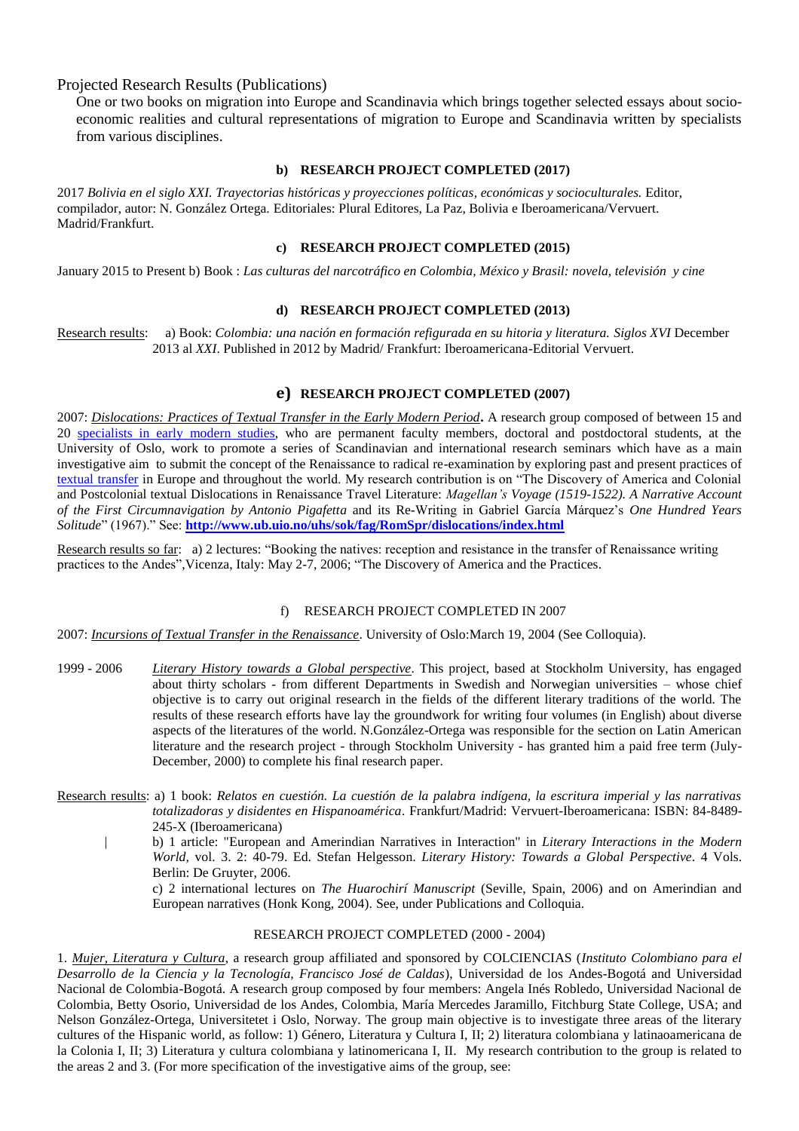Projected Research Results (Publications)

One or two books on migration into Europe and Scandinavia which brings together selected essays about socioeconomic realities and cultural representations of migration to Europe and Scandinavia written by specialists from various disciplines.

#### **b) RESEARCH PROJECT COMPLETED (2017)**

2017 *Bolivia en el siglo XXI. Trayectorias históricas y proyecciones políticas, económicas y socioculturales.* Editor, compilador, autor: N. González Ortega. Editoriales: Plural Editores, La Paz, Bolivia e Iberoamericana/Vervuert. Madrid/Frankfurt.

#### **c) RESEARCH PROJECT COMPLETED (2015)**

January 2015 to Present b) Book : *Las culturas del narcotráfico en Colombia, México y Brasil: novela, televisión y cine*

#### **d) RESEARCH PROJECT COMPLETED (2013)**

Research results: a) Book: *Colombia: una nación en formación refigurada en su hitoria y literatura. Siglos XVI* December 2013 al *XXI*. Published in 2012 by Madrid/ Frankfurt: Iberoamericana-Editorial Vervuert.

# **e) RESEARCH PROJECT COMPLETED (2007)**

2007: *Dislocations: Practices of Textual Transfer in the Early Modern Period*. A research group composed of between 15 and 20 [specialists in early modern studies,](javascript:vindu8() who are permanent faculty members, doctoral and postdoctoral students, at the University of Oslo, work to promote a series of Scandinavian and international research seminars which have as a main investigative aim to submit the concept of the Renaissance to radical re-examination by exploring past and present practices of [textual transfer](javascript:vindu8() in Europe and throughout the world. My research contribution is on "The Discovery of America and Colonial and Postcolonial textual Dislocations in Renaissance Travel Literature: *Magellan's Voyage (1519-1522). A Narrative Account of the First Circumnavigation by Antonio Pigafetta* and its Re-Writing in Gabriel García Márquez's *One Hundred Years Solitude*" (1967)." See: **<http://www.ub.uio.no/uhs/sok/fag/RomSpr/dislocations/index.html>**

Research results so far: a) 2 lectures: "Booking the natives: reception and resistance in the transfer of Renaissance writing practices to the Andes",Vicenza, Italy: May 2-7, 2006; "The Discovery of America and the Practices.

## f) RESEARCH PROJECT COMPLETED IN 2007

2007: *Incursions of Textual Transfer in the Renaissance*. University of Oslo:March 19, 2004 (See Colloquia).

- 1999 2006 *Literary History towards a Global perspective*. This project, based at Stockholm University, has engaged about thirty scholars - from different Departments in Swedish and Norwegian universities – whose chief objective is to carry out original research in the fields of the different literary traditions of the world. The results of these research efforts have lay the groundwork for writing four volumes (in English) about diverse aspects of the literatures of the world. N.González-Ortega was responsible for the section on Latin American literature and the research project - through Stockholm University - has granted him a paid free term (July-December, 2000) to complete his final research paper.
- Research results: a) 1 book: *Relatos en cuestión. La cuestión de la palabra indígena, la escritura imperial y las narrativas totalizadoras y disidentes en Hispanoamérica*. Frankfurt/Madrid: Vervuert-Iberoamericana: ISBN: 84-8489- 245-X (Iberoamericana)
	- | b) 1 article: "European and Amerindian Narratives in Interaction" in *Literary Interactions in the Modern World,* vol. 3. 2: 40-79. Ed. Stefan Helgesson. *Literary History: Towards a Global Perspective*. 4 Vols. Berlin: De Gruyter, 2006.

c) 2 international lectures on *The Huarochirí Manuscript* (Seville, Spain, 2006) and on Amerindian and European narratives (Honk Kong, 2004). See, under Publications and Colloquia.

#### RESEARCH PROJECT COMPLETED (2000 - 2004)

1. *Mujer, Literatura y Cultura*, a research group affiliated and sponsored by COLCIENCIAS (*Instituto Colombiano para el Desarrollo de la Ciencia y la Tecnología, Francisco José de Caldas*), Universidad de los Andes-Bogotá and Universidad Nacional de Colombia-Bogotá. A research group composed by four members: Angela Inés Robledo, Universidad Nacional de Colombia, Betty Osorio, Universidad de los Andes, Colombia, María Mercedes Jaramillo, Fitchburg State College, USA; and Nelson González-Ortega, Universitetet i Oslo, Norway. The group main objective is to investigate three areas of the literary cultures of the Hispanic world, as follow: 1) Género, Literatura y Cultura I, II; 2) literatura colombiana y latinaoamericana de la Colonia I, II; 3) Literatura y cultura colombiana y latinomericana I, II. My research contribution to the group is related to the areas 2 and 3. (For more specification of the investigative aims of the group, see: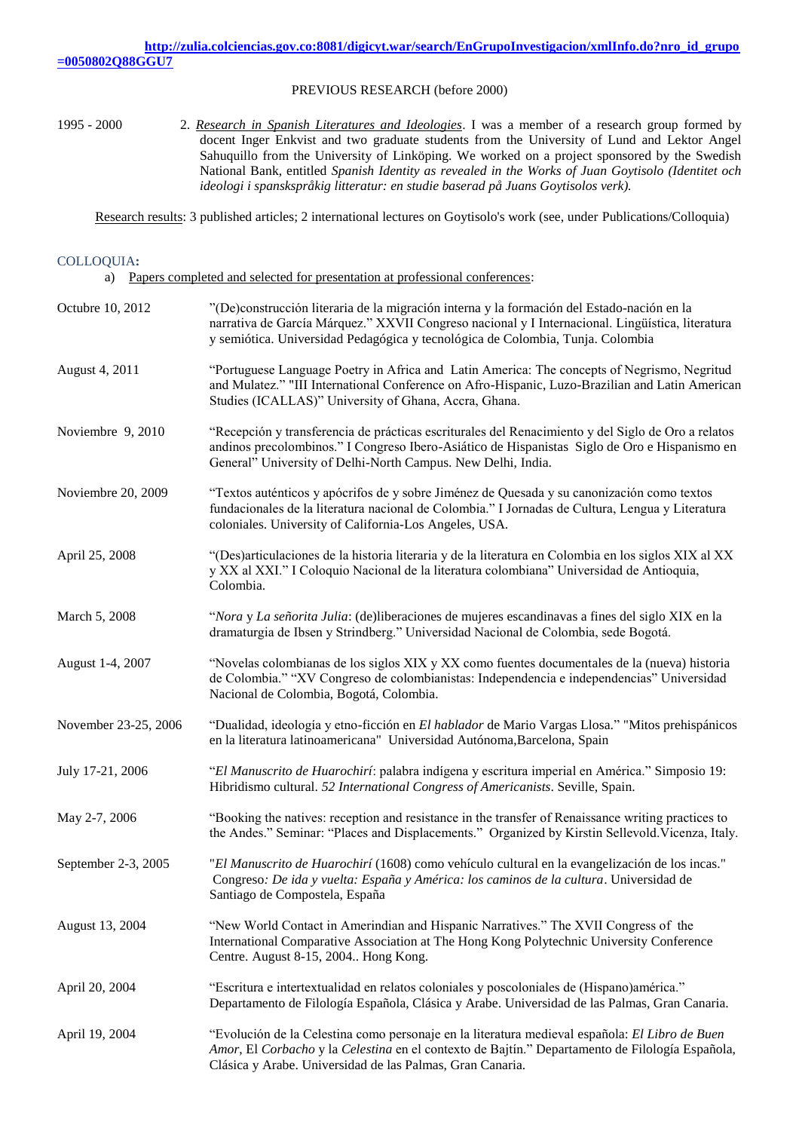#### PREVIOUS RESEARCH (before 2000)

1995 - 2000 2. *Research in Spanish Literatures and Ideologies*. I was a member of a research group formed by docent Inger Enkvist and two graduate students from the University of Lund and Lektor Angel Sahuquillo from the University of Linköping. We worked on a project sponsored by the Swedish National Bank, entitled *Spanish Identity as revealed in the Works of Juan Goytisolo (Identitet och ideologi i spanskspråkig litteratur: en studie baserad på Juans Goytisolos verk).* 

Research results: 3 published articles; 2 international lectures on Goytisolo's work (see, under Publications/Colloquia)

# COLLOQUIA**:**

a) Papers completed and selected for presentation at professional conferences:

| Octubre 10, 2012     | "(De)construcción literaria de la migración interna y la formación del Estado-nación en la<br>narrativa de García Márquez." XXVII Congreso nacional y I Internacional. Lingüística, literatura<br>y semiótica. Universidad Pedagógica y tecnológica de Colombia, Tunja. Colombia |
|----------------------|----------------------------------------------------------------------------------------------------------------------------------------------------------------------------------------------------------------------------------------------------------------------------------|
| August 4, 2011       | "Portuguese Language Poetry in Africa and Latin America: The concepts of Negrismo, Negritud<br>and Mulatez." "III International Conference on Afro-Hispanic, Luzo-Brazilian and Latin American<br>Studies (ICALLAS)" University of Ghana, Accra, Ghana.                          |
| Noviembre 9, 2010    | "Recepción y transferencia de prácticas escriturales del Renacimiento y del Siglo de Oro a relatos<br>andinos precolombinos." I Congreso Ibero-Asiático de Hispanistas Siglo de Oro e Hispanismo en<br>General" University of Delhi-North Campus. New Delhi, India.              |
| Noviembre 20, 2009   | "Textos auténticos y apócrifos de y sobre Jiménez de Quesada y su canonización como textos<br>fundacionales de la literatura nacional de Colombia." I Jornadas de Cultura, Lengua y Literatura<br>coloniales. University of California-Los Angeles, USA.                         |
| April 25, 2008       | "(Des)articulaciones de la historia literaria y de la literatura en Colombia en los siglos XIX al XX<br>y XX al XXI." I Coloquio Nacional de la literatura colombiana" Universidad de Antioquia,<br>Colombia.                                                                    |
| March 5, 2008        | "Nora y La señorita Julia: (de)liberaciones de mujeres escandinavas a fines del siglo XIX en la<br>dramaturgia de Ibsen y Strindberg." Universidad Nacional de Colombia, sede Bogotá.                                                                                            |
| August 1-4, 2007     | "Novelas colombianas de los siglos XIX y XX como fuentes documentales de la (nueva) historia<br>de Colombia." "XV Congreso de colombianistas: Independencia e independencias" Universidad<br>Nacional de Colombia, Bogotá, Colombia.                                             |
| November 23-25, 2006 | "Dualidad, ideología y etno-ficción en El hablador de Mario Vargas Llosa." "Mitos prehispánicos<br>en la literatura latinoamericana" Universidad Autónoma, Barcelona, Spain                                                                                                      |
| July 17-21, 2006     | "El Manuscrito de Huarochirí: palabra indígena y escritura imperial en América." Simposio 19:<br>Hibridismo cultural. 52 International Congress of Americanists. Seville, Spain.                                                                                                 |
| May 2-7, 2006        | "Booking the natives: reception and resistance in the transfer of Renaissance writing practices to<br>the Andes." Seminar: "Places and Displacements." Organized by Kirstin Sellevold. Vicenza, Italy.                                                                           |
| September 2-3, 2005  | "El Manuscrito de Huarochirí (1608) como vehículo cultural en la evangelización de los incas."<br>Congreso: De ida y vuelta: España y América: los caminos de la cultura. Universidad de<br>Santiago de Compostela, España                                                       |
| August 13, 2004      | "New World Contact in Amerindian and Hispanic Narratives." The XVII Congress of the<br>International Comparative Association at The Hong Kong Polytechnic University Conference<br>Centre. August 8-15, 2004 Hong Kong.                                                          |
| April 20, 2004       | "Escritura e intertextualidad en relatos coloniales y poscoloniales de (Hispano)américa."<br>Departamento de Filología Española, Clásica y Arabe. Universidad de las Palmas, Gran Canaria.                                                                                       |
| April 19, 2004       | "Evolución de la Celestina como personaje en la literatura medieval española: El Libro de Buen<br>Amor, El Corbacho y la Celestina en el contexto de Bajtín." Departamento de Filología Española,<br>Clásica y Arabe. Universidad de las Palmas, Gran Canaria.                   |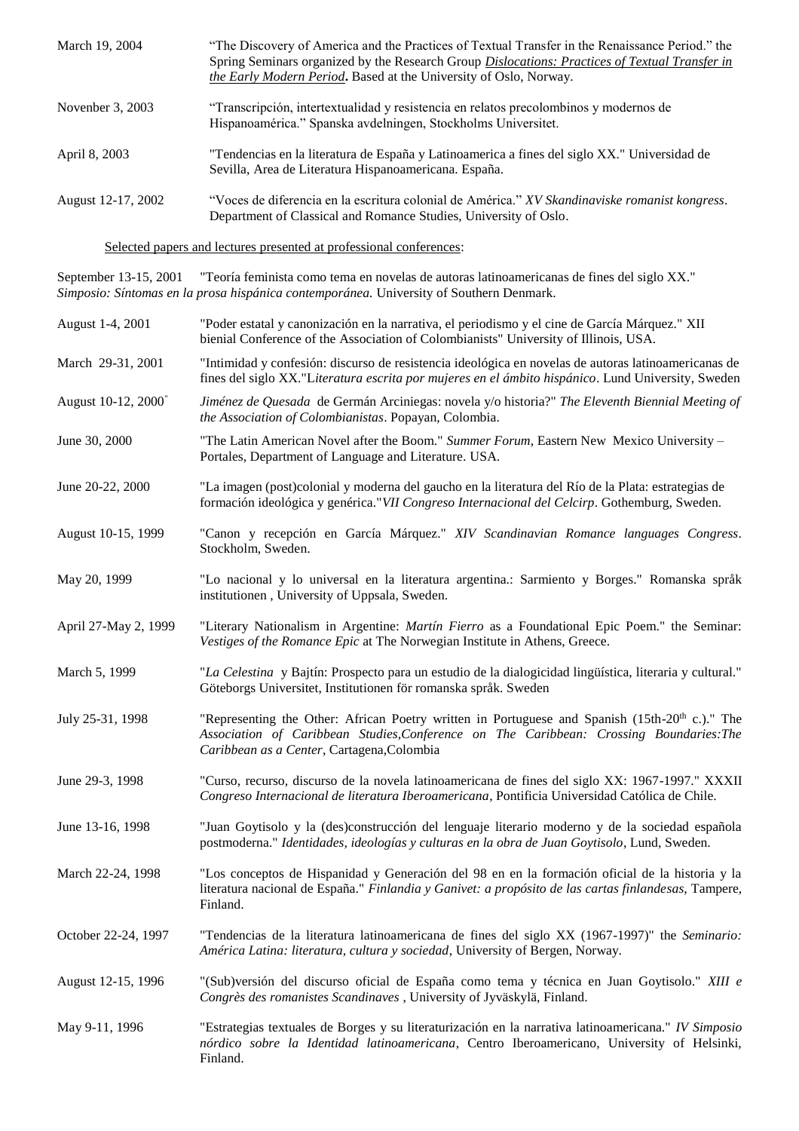| March 19, 2004     | "The Discovery of America and the Practices of Textual Transfer in the Renaissance Period." the<br>Spring Seminars organized by the Research Group <i>Dislocations: Practices of Textual Transfer in</i><br>the Early Modern Period. Based at the University of Oslo, Norway. |
|--------------------|-------------------------------------------------------------------------------------------------------------------------------------------------------------------------------------------------------------------------------------------------------------------------------|
| November 3, 2003   | "Transcripción, intertextualidad y resistencia en relatos precolombinos y modernos de<br>Hispanoamérica." Spanska avdelningen, Stockholms Universitet.                                                                                                                        |
| April 8, 2003      | "Tendencias en la literatura de España y Latinoamerica a fines del siglo XX." Universidad de<br>Sevilla, Area de Literatura Hispanoamericana. España.                                                                                                                         |
| August 12-17, 2002 | "Voces de diferencia en la escritura colonial de América." XV Skandinaviske romanist kongress.<br>Department of Classical and Romance Studies, University of Oslo.                                                                                                            |

Selected papers and lectures presented at professional conferences:

September 13-15, 2001 "Teoría feminista como tema en novelas de autoras latinoamericanas de fines del siglo XX." *Simposio: Síntomas en la prosa hispánica contemporánea.* University of Southern Denmark.

| August 1-4, 2001     | "Poder estatal y canonización en la narrativa, el periodismo y el cine de García Márquez." XII<br>bienial Conference of the Association of Colombianists" University of Illinois, USA.                                                              |
|----------------------|-----------------------------------------------------------------------------------------------------------------------------------------------------------------------------------------------------------------------------------------------------|
| March 29-31, 2001    | "Intimidad y confesión: discurso de resistencia ideológica en novelas de autoras latinoamericanas de<br>fines del siglo XX."Literatura escrita por mujeres en el ámbito hispánico. Lund University, Sweden                                          |
| August 10-12, 2000   | Jiménez de Quesada de Germán Arciniegas: novela y/o historia?" The Eleventh Biennial Meeting of<br>the Association of Colombianistas. Popayan, Colombia.                                                                                            |
| June 30, 2000        | "The Latin American Novel after the Boom." Summer Forum, Eastern New Mexico University -<br>Portales, Department of Language and Literature. USA.                                                                                                   |
| June 20-22, 2000     | "La imagen (post)colonial y moderna del gaucho en la literatura del Río de la Plata: estrategias de<br>formación ideológica y genérica." VII Congreso Internacional del Celcirp. Gothemburg, Sweden.                                                |
| August 10-15, 1999   | "Canon y recepción en García Márquez." XIV Scandinavian Romance languages Congress.<br>Stockholm, Sweden.                                                                                                                                           |
| May 20, 1999         | "Lo nacional y lo universal en la literatura argentina.: Sarmiento y Borges." Romanska språk<br>institutionen, University of Uppsala, Sweden.                                                                                                       |
| April 27-May 2, 1999 | "Literary Nationalism in Argentine: <i>Martín Fierro</i> as a Foundational Epic Poem." the Seminar:<br>Vestiges of the Romance Epic at The Norwegian Institute in Athens, Greece.                                                                   |
| March 5, 1999        | "La Celestina y Bajtín: Prospecto para un estudio de la dialogicidad lingüística, literaria y cultural."<br>Göteborgs Universitet, Institutionen för romanska språk. Sweden                                                                         |
| July 25-31, 1998     | "Representing the Other: African Poetry written in Portuguese and Spanish (15th-20 <sup>th</sup> c.)." The<br>Association of Caribbean Studies, Conference on The Caribbean: Crossing Boundaries: The<br>Caribbean as a Center, Cartagena, Colombia |
| June 29-3, 1998      | "Curso, recurso, discurso de la novela latinoamericana de fines del siglo XX: 1967-1997." XXXII<br>Congreso Internacional de literatura Iberoamericana, Pontificia Universidad Católica de Chile.                                                   |
| June 13-16, 1998     | "Juan Goytisolo y la (des)construcción del lenguaje literario moderno y de la sociedad española<br>postmoderna." Identidades, ideologías y culturas en la obra de Juan Goytisolo, Lund, Sweden.                                                     |
| March 22-24, 1998    | "Los conceptos de Hispanidad y Generación del 98 en en la formación oficial de la historia y la<br>literatura nacional de España." Finlandia y Ganivet: a propósito de las cartas finlandesas, Tampere,<br>Finland.                                 |
| October 22-24, 1997  | "Tendencias de la literatura latinoamericana de fines del siglo XX (1967-1997)" the Seminario:<br>América Latina: literatura, cultura y sociedad, University of Bergen, Norway.                                                                     |
| August 12-15, 1996   | "(Sub)versión del discurso oficial de España como tema y técnica en Juan Goytisolo." XIII e<br>Congrès des romanistes Scandinaves, University of Jyväskylä, Finland.                                                                                |
| May 9-11, 1996       | "Estrategias textuales de Borges y su literaturización en la narrativa latinoamericana." IV Simposio<br>nórdico sobre la Identidad latinoamericana, Centro Iberoamericano, University of Helsinki,<br>Finland.                                      |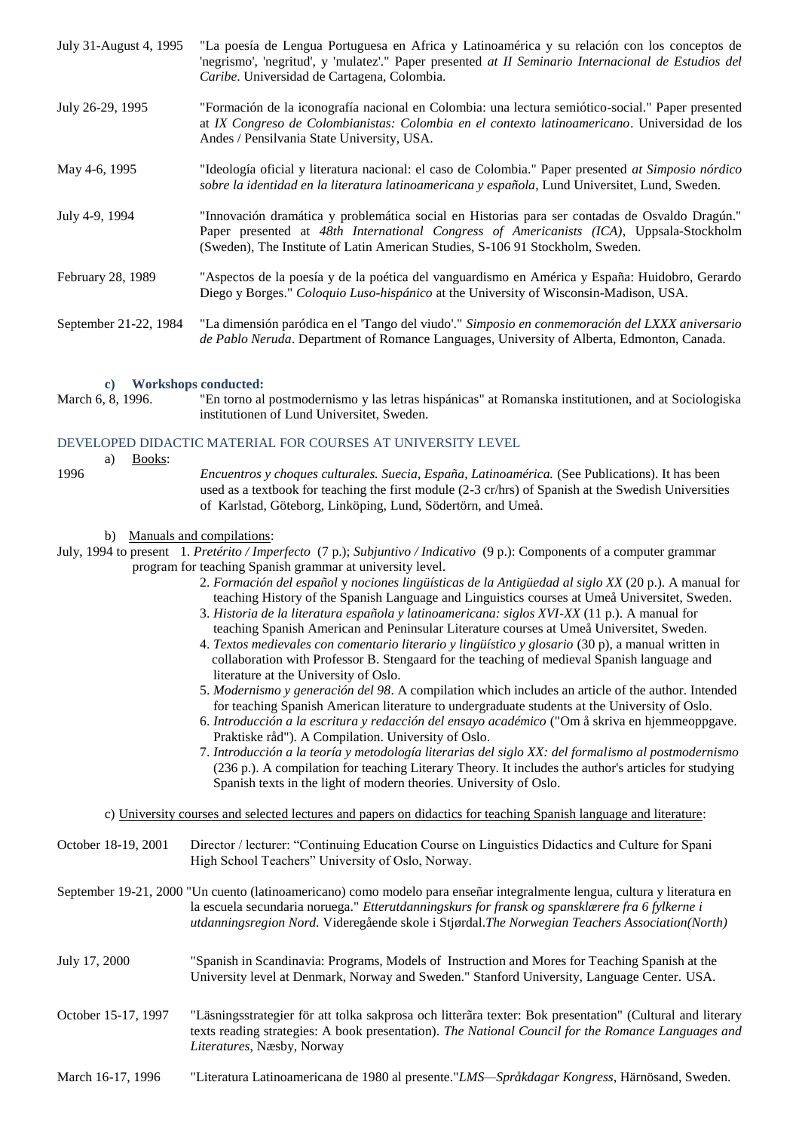| July 31-August 4, 1995 | "La poesía de Lengua Portuguesa en Africa y Latinoamérica y su relación con los conceptos de<br>'negrismo', 'negritud', y 'mulatez'." Paper presented at II Seminario Internacional de Estudios del<br>Caribe. Universidad de Cartagena, Colombia.                          |
|------------------------|-----------------------------------------------------------------------------------------------------------------------------------------------------------------------------------------------------------------------------------------------------------------------------|
| July 26-29, 1995       | "Formación de la iconografía nacional en Colombia: una lectura semiótico-social." Paper presented<br>at IX Congreso de Colombianistas: Colombia en el contexto latinoamericano. Universidad de los<br>Andes / Pensilvania State University, USA.                            |
| May 4-6, 1995          | "Ideología oficial y literatura nacional: el caso de Colombia." Paper presented at Simposio nórdico<br>sobre la identidad en la literatura latinoamericana y española, Lund Universitet, Lund, Sweden.                                                                      |
| July 4-9, 1994         | "Innovación dramática y problemática social en Historias para ser contadas de Osvaldo Dragún."<br>Paper presented at 48th International Congress of Americanists (ICA), Uppsala-Stockholm<br>(Sweden), The Institute of Latin American Studies, S-106 91 Stockholm, Sweden. |
| February 28, 1989      | "Aspectos de la poesía y de la poética del vanguardismo en América y España: Huidobro, Gerardo<br>Diego y Borges." Coloquio Luso-hispánico at the University of Wisconsin-Madison, USA.                                                                                     |
| September 21-22, 1984  | "La dimensión paródica en el 'Tango del viudo'." Simposio en conmemoración del LXXX aniversario<br>de Pablo Neruda. Department of Romance Languages, University of Alberta, Edmonton, Canada.                                                                               |

#### **c) Workshops conducted:**

March 6, 8, 1996. "En torno al postmodernismo y las letras hispánicas" at Romanska institutionen, and at Sociologiska institutionen of Lund Universitet, Sweden.

#### DEVELOPED DIDACTIC MATERIAL FOR COURSES AT UNIVERSITY LEVEL

a) Books:

1996 *Encuentros y choques culturales. Suecia, España, Latinoamérica.* (See Publications). It has been used as a textbook for teaching the first module (2-3 cr/hrs) of Spanish at the Swedish Universities of Karlstad, Göteborg, Linköping, Lund, Södertörn, and Umeå.

#### b) Manuals and compilations:

July, 1994 to present 1. *Pretérito / Imperfecto* (7 p.); *Subjuntivo / Indicativo* (9 p.): Components of a computer grammar program for teaching Spanish grammar at university level.

- 2. *Formación del español* y *nociones lingüísticas de la Antigüedad al siglo XX* (20 p.). A manual for teaching History of the Spanish Language and Linguistics courses at Umeå Universitet, Sweden.
- 3. *Historia de la literatura española y latinoamericana: siglos XVI-XX* (11 p.). A manual for teaching Spanish American and Peninsular Literature courses at Umeå Universitet, Sweden.
- 4. *Textos medievales con comentario literario y lingüístico y glosario* (30 p), a manual written in collaboration with Professor B. Stengaard for the teaching of medieval Spanish language and literature at the University of Oslo.
- 5. *Modernismo y generación del 98*. A compilation which includes an article of the author. Intended for teaching Spanish American literature to undergraduate students at the University of Oslo.
- 6. *Introducción a la escritura y redacción del ensayo académico* ("Om å skriva en hjemmeoppgave. Praktiske råd"). A Compilation. University of Oslo.
- 7. *Introducción a la teoría y metodología literarias del siglo XX: del formalismo al postmodernismo* (236 p.). A compilation for teaching Literary Theory. It includes the author's articles for studying Spanish texts in the light of modern theories. University of Oslo.

c) University courses and selected lectures and papers on didactics for teaching Spanish language and literature:

| October 18-19, 2001 | Director / lecturer: "Continuing Education Course on Linguistics Didactics and Culture for Spani<br>High School Teachers" University of Oslo, Norway.                                                                                                                                                                           |
|---------------------|---------------------------------------------------------------------------------------------------------------------------------------------------------------------------------------------------------------------------------------------------------------------------------------------------------------------------------|
|                     | September 19-21, 2000 "Un cuento (latinoamericano) como modelo para enseñar integralmente lengua, cultura y literatura en<br>la escuela secundaria noruega." Etterutdanningskurs for fransk og spansklærere fra 6 fylkerne i<br>utdanningsregion Nord. Videregående skole i Stjørdal. The Norwegian Teachers Association(North) |
| July 17, 2000       | "Spanish in Scandinavia: Programs, Models of Instruction and Mores for Teaching Spanish at the<br>University level at Denmark, Norway and Sweden." Stanford University, Language Center. USA.                                                                                                                                   |
| October 15-17, 1997 | "Läsningsstrategier för att tolka sakprosa och litterära texter: Bok presentation" (Cultural and literary<br>texts reading strategies: A book presentation). The National Council for the Romance Languages and<br><i>Literatures, Nassby, Norway</i>                                                                           |
| March 16-17, 1996   | "Literatura Latinoamericana de 1980 al presente." <i>LMS—Språkdagar Kongress</i> , Härnösand, Sweden.                                                                                                                                                                                                                           |